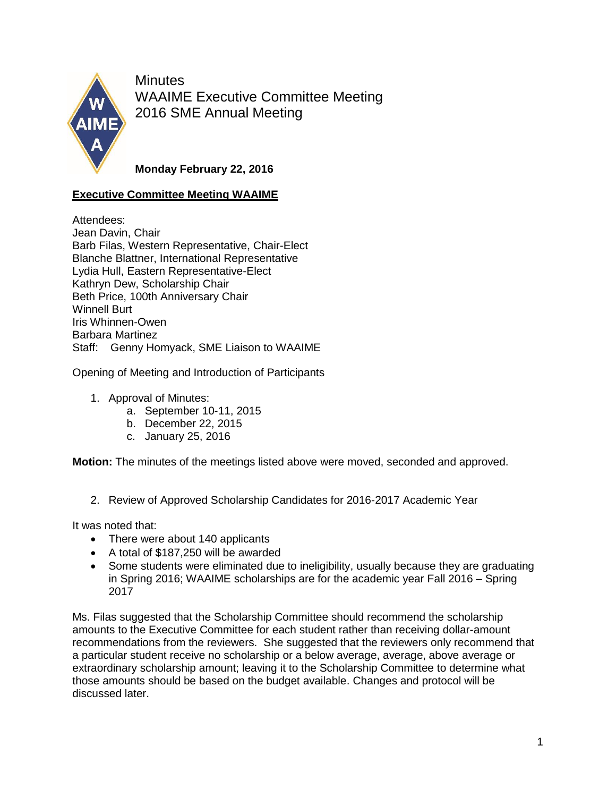

**Minutes** WAAIME Executive Committee Meeting 2016 SME Annual Meeting

**Monday February 22, 2016**

## **Executive Committee Meeting WAAIME**

Attendees: Jean Davin, Chair Barb Filas, Western Representative, Chair-Elect Blanche Blattner, International Representative Lydia Hull, Eastern Representative-Elect Kathryn Dew, Scholarship Chair Beth Price, 100th Anniversary Chair Winnell Burt Iris Whinnen-Owen Barbara Martinez Staff: Genny Homyack, SME Liaison to WAAIME

Opening of Meeting and Introduction of Participants

- 1. Approval of Minutes:
	- a. September 10-11, 2015
	- b. December 22, 2015
	- c. January 25, 2016

**Motion:** The minutes of the meetings listed above were moved, seconded and approved.

2. Review of Approved Scholarship Candidates for 2016-2017 Academic Year

It was noted that:

- There were about 140 applicants
- A total of \$187,250 will be awarded
- Some students were eliminated due to ineligibility, usually because they are graduating in Spring 2016; WAAIME scholarships are for the academic year Fall 2016 – Spring 2017

Ms. Filas suggested that the Scholarship Committee should recommend the scholarship amounts to the Executive Committee for each student rather than receiving dollar-amount recommendations from the reviewers. She suggested that the reviewers only recommend that a particular student receive no scholarship or a below average, average, above average or extraordinary scholarship amount; leaving it to the Scholarship Committee to determine what those amounts should be based on the budget available. Changes and protocol will be discussed later.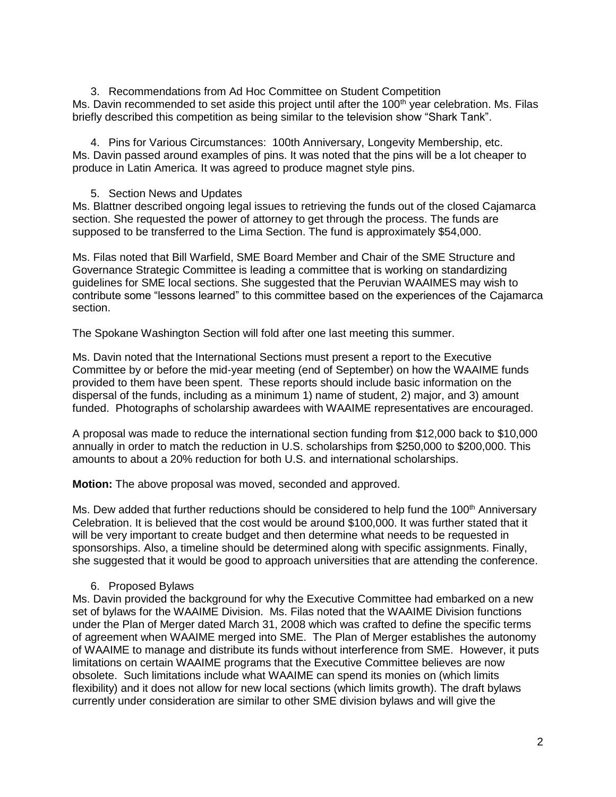3. Recommendations from Ad Hoc Committee on Student Competition Ms. Davin recommended to set aside this project until after the 100<sup>th</sup> year celebration. Ms. Filas briefly described this competition as being similar to the television show "Shark Tank".

4. Pins for Various Circumstances: 100th Anniversary, Longevity Membership, etc. Ms. Davin passed around examples of pins. It was noted that the pins will be a lot cheaper to produce in Latin America. It was agreed to produce magnet style pins.

## 5. Section News and Updates

Ms. Blattner described ongoing legal issues to retrieving the funds out of the closed Cajamarca section. She requested the power of attorney to get through the process. The funds are supposed to be transferred to the Lima Section. The fund is approximately \$54,000.

Ms. Filas noted that Bill Warfield, SME Board Member and Chair of the SME Structure and Governance Strategic Committee is leading a committee that is working on standardizing guidelines for SME local sections. She suggested that the Peruvian WAAIMES may wish to contribute some "lessons learned" to this committee based on the experiences of the Cajamarca section.

The Spokane Washington Section will fold after one last meeting this summer.

Ms. Davin noted that the International Sections must present a report to the Executive Committee by or before the mid-year meeting (end of September) on how the WAAIME funds provided to them have been spent. These reports should include basic information on the dispersal of the funds, including as a minimum 1) name of student, 2) major, and 3) amount funded. Photographs of scholarship awardees with WAAIME representatives are encouraged.

A proposal was made to reduce the international section funding from \$12,000 back to \$10,000 annually in order to match the reduction in U.S. scholarships from \$250,000 to \$200,000. This amounts to about a 20% reduction for both U.S. and international scholarships.

**Motion:** The above proposal was moved, seconded and approved.

Ms. Dew added that further reductions should be considered to help fund the 100<sup>th</sup> Anniversary Celebration. It is believed that the cost would be around \$100,000. It was further stated that it will be very important to create budget and then determine what needs to be requested in sponsorships. Also, a timeline should be determined along with specific assignments. Finally, she suggested that it would be good to approach universities that are attending the conference.

## 6. Proposed Bylaws

Ms. Davin provided the background for why the Executive Committee had embarked on a new set of bylaws for the WAAIME Division. Ms. Filas noted that the WAAIME Division functions under the Plan of Merger dated March 31, 2008 which was crafted to define the specific terms of agreement when WAAIME merged into SME. The Plan of Merger establishes the autonomy of WAAIME to manage and distribute its funds without interference from SME. However, it puts limitations on certain WAAIME programs that the Executive Committee believes are now obsolete. Such limitations include what WAAIME can spend its monies on (which limits flexibility) and it does not allow for new local sections (which limits growth). The draft bylaws currently under consideration are similar to other SME division bylaws and will give the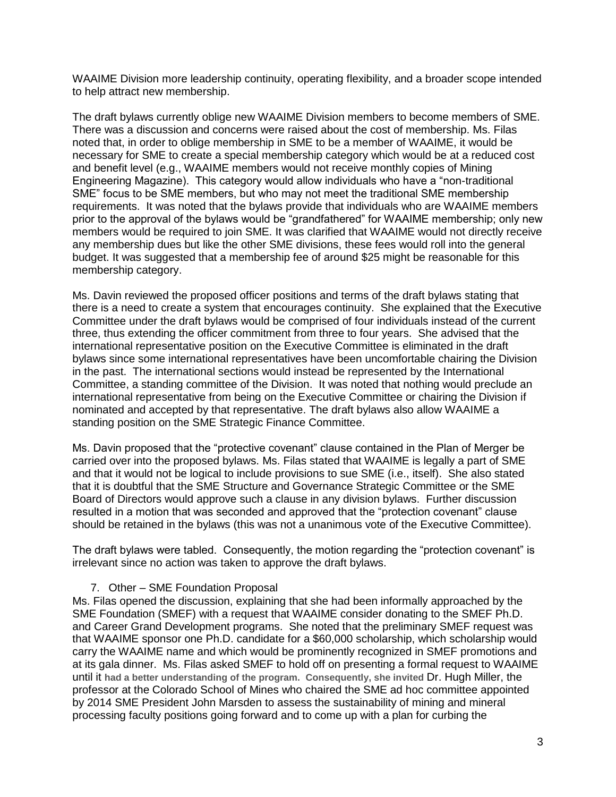WAAIME Division more leadership continuity, operating flexibility, and a broader scope intended to help attract new membership.

The draft bylaws currently oblige new WAAIME Division members to become members of SME. There was a discussion and concerns were raised about the cost of membership. Ms. Filas noted that, in order to oblige membership in SME to be a member of WAAIME, it would be necessary for SME to create a special membership category which would be at a reduced cost and benefit level (e.g., WAAIME members would not receive monthly copies of Mining Engineering Magazine). This category would allow individuals who have a "non-traditional SME" focus to be SME members, but who may not meet the traditional SME membership requirements. It was noted that the bylaws provide that individuals who are WAAIME members prior to the approval of the bylaws would be "grandfathered" for WAAIME membership; only new members would be required to join SME. It was clarified that WAAIME would not directly receive any membership dues but like the other SME divisions, these fees would roll into the general budget. It was suggested that a membership fee of around \$25 might be reasonable for this membership category.

Ms. Davin reviewed the proposed officer positions and terms of the draft bylaws stating that there is a need to create a system that encourages continuity. She explained that the Executive Committee under the draft bylaws would be comprised of four individuals instead of the current three, thus extending the officer commitment from three to four years. She advised that the international representative position on the Executive Committee is eliminated in the draft bylaws since some international representatives have been uncomfortable chairing the Division in the past. The international sections would instead be represented by the International Committee, a standing committee of the Division. It was noted that nothing would preclude an international representative from being on the Executive Committee or chairing the Division if nominated and accepted by that representative. The draft bylaws also allow WAAIME a standing position on the SME Strategic Finance Committee.

Ms. Davin proposed that the "protective covenant" clause contained in the Plan of Merger be carried over into the proposed bylaws. Ms. Filas stated that WAAIME is legally a part of SME and that it would not be logical to include provisions to sue SME (i.e., itself). She also stated that it is doubtful that the SME Structure and Governance Strategic Committee or the SME Board of Directors would approve such a clause in any division bylaws. Further discussion resulted in a motion that was seconded and approved that the "protection covenant" clause should be retained in the bylaws (this was not a unanimous vote of the Executive Committee).

The draft bylaws were tabled. Consequently, the motion regarding the "protection covenant" is irrelevant since no action was taken to approve the draft bylaws.

## 7. Other – SME Foundation Proposal

Ms. Filas opened the discussion, explaining that she had been informally approached by the SME Foundation (SMEF) with a request that WAAIME consider donating to the SMEF Ph.D. and Career Grand Development programs. She noted that the preliminary SMEF request was that WAAIME sponsor one Ph.D. candidate for a \$60,000 scholarship, which scholarship would carry the WAAIME name and which would be prominently recognized in SMEF promotions and at its gala dinner. Ms. Filas asked SMEF to hold off on presenting a formal request to WAAIME until it **had a better understanding of the program. Consequently, she invited** Dr. Hugh Miller, the professor at the Colorado School of Mines who chaired the SME ad hoc committee appointed by 2014 SME President John Marsden to assess the sustainability of mining and mineral processing faculty positions going forward and to come up with a plan for curbing the